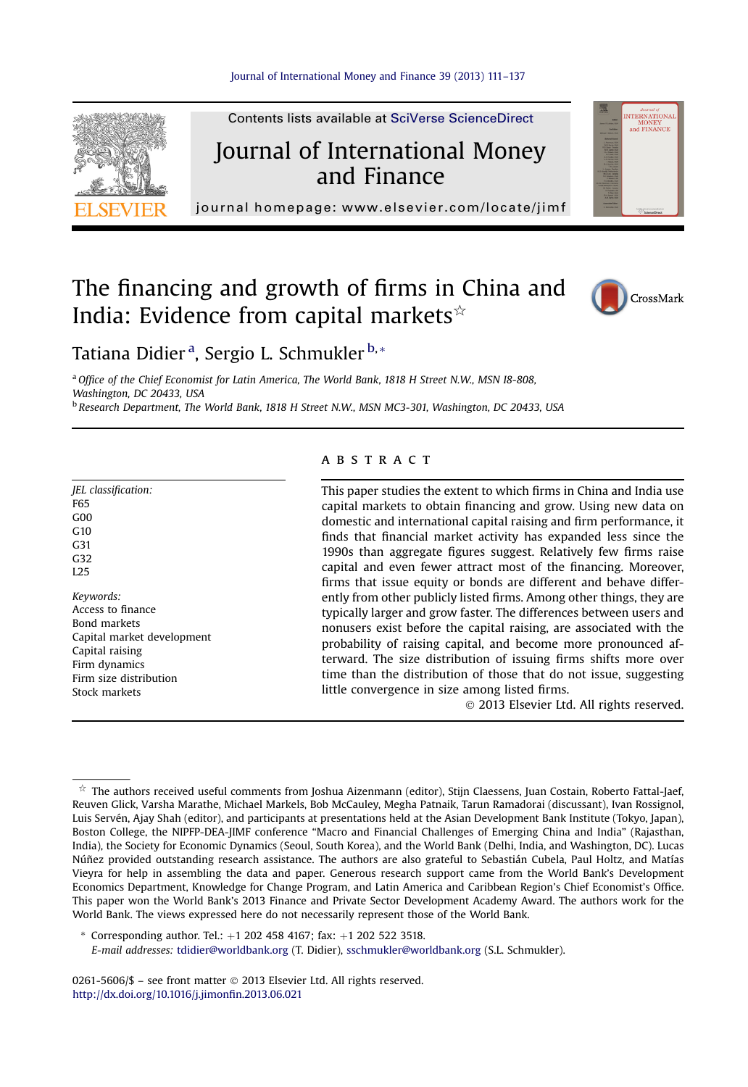

Contents lists available at SciVerse ScienceDirect

## Journal of International Money and Finance

NTERNATIONAL<br>MONEY<br>and FINANCE

journal homepage:<www.elsevier.com/locate/jimf>

### The financing and growth of firms in China and India: Evidence from capital markets $\dot{\mathbf{x}}$



Tatiana Didier <sup>a</sup>, Sergio L. Schmukler <sup>b,</sup>\*

<sup>a</sup> Office of the Chief Economist for Latin America, The World Bank, 1818 H Street N.W., MSN 18-808, Washington, DC 20433, USA

<sup>b</sup> Research Department, The World Bank, 1818 H Street N.W., MSN MC3-301, Washington, DC 20433, USA

#### JEL classification: F65  $G<sub>0</sub>$  $G<sub>10</sub>$ G31 G<sub>32</sub> **L25** Keywords: Access to finance Bond markets Capital market development Capital raising Firm dynamics Firm size distribution Stock markets

#### **ABSTRACT**

This paper studies the extent to which firms in China and India use capital markets to obtain financing and grow. Using new data on domestic and international capital raising and firm performance, it finds that financial market activity has expanded less since the 1990s than aggregate figures suggest. Relatively few firms raise capital and even fewer attract most of the financing. Moreover, firms that issue equity or bonds are different and behave differently from other publicly listed firms. Among other things, they are typically larger and grow faster. The differences between users and nonusers exist before the capital raising, are associated with the probability of raising capital, and become more pronounced afterward. The size distribution of issuing firms shifts more over time than the distribution of those that do not issue, suggesting little convergence in size among listed firms.

2013 Elsevier Ltd. All rights reserved.

\* Corresponding author. Tel.:  $+1$  202 458 4167; fax:  $+1$  202 522 3518.

0261-5606/\$ - see front matter © 2013 Elsevier Ltd. All rights reserved. [http://dx.doi.org/10.1016/j.jimon](http://dx.doi.org/10.1016/j.jimonfin.2013.06.021)fin.2013.06.021

 $^\star$  The authors received useful comments from Joshua Aizenmann (editor), Stijn Claessens, Juan Costain, Roberto Fattal-Jaef, Reuven Glick, Varsha Marathe, Michael Markels, Bob McCauley, Megha Patnaik, Tarun Ramadorai (discussant), Ivan Rossignol, Luis Servén, Ajay Shah (editor), and participants at presentations held at the Asian Development Bank Institute (Tokyo, Japan), Boston College, the NIPFP-DEA-JIMF conference "Macro and Financial Challenges of Emerging China and India" (Rajasthan, India), the Society for Economic Dynamics (Seoul, South Korea), and the World Bank (Delhi, India, and Washington, DC). Lucas Núñez provided outstanding research assistance. The authors are also grateful to Sebastián Cubela, Paul Holtz, and Matías Vieyra for help in assembling the data and paper. Generous research support came from the World Bank's Development Economics Department, Knowledge for Change Program, and Latin America and Caribbean Region's Chief Economist's Office. This paper won the World Bank's 2013 Finance and Private Sector Development Academy Award. The authors work for the World Bank. The views expressed here do not necessarily represent those of the World Bank.

E-mail addresses: [tdidier@worldbank.org](mailto:tdidier@worldbank.org) (T. Didier), [sschmukler@worldbank.org](mailto:sschmukler@worldbank.org) (S.L. Schmukler).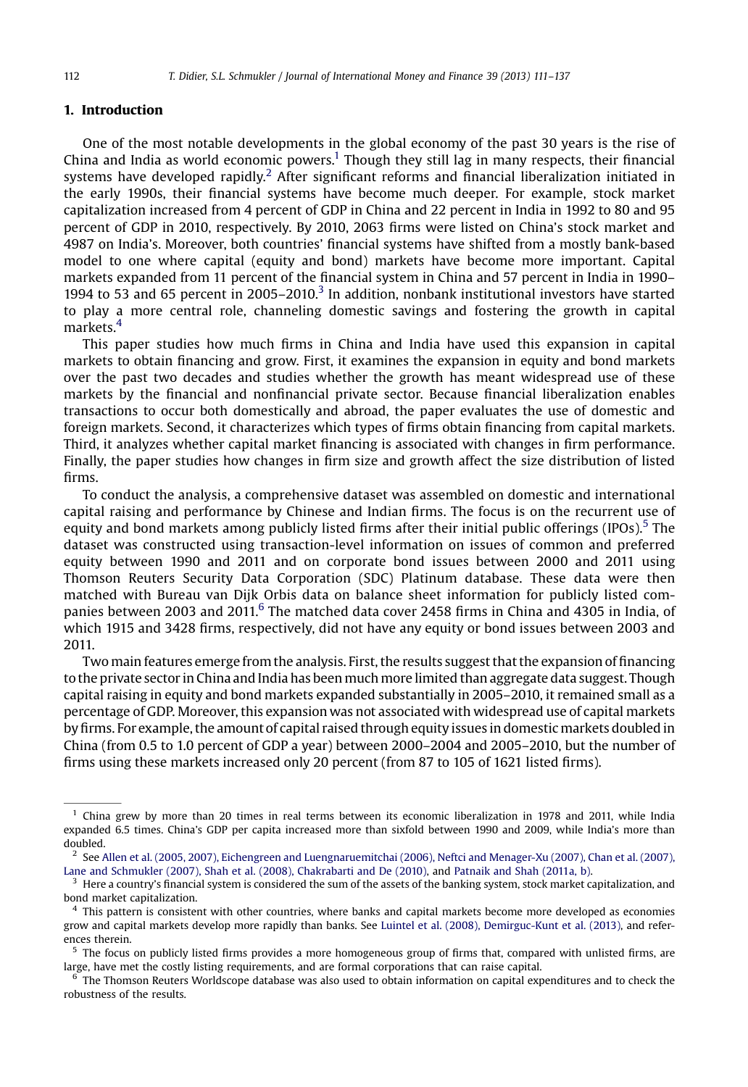#### 1. Introduction

One of the most notable developments in the global economy of the past 30 years is the rise of China and India as world economic powers.1 Though they still lag in many respects, their financial systems have developed rapidly.<sup>2</sup> After significant reforms and financial liberalization initiated in the early 1990s, their financial systems have become much deeper. For example, stock market capitalization increased from 4 percent of GDP in China and 22 percent in India in 1992 to 80 and 95 percent of GDP in 2010, respectively. By 2010, 2063 firms were listed on China's stock market and 4987 on India's. Moreover, both countries' financial systems have shifted from a mostly bank-based model to one where capital (equity and bond) markets have become more important. Capital markets expanded from 11 percent of the financial system in China and 57 percent in India in 1990– 1994 to 53 and 65 percent in  $2005-2010$ .<sup>3</sup> In addition, nonbank institutional investors have started to play a more central role, channeling domestic savings and fostering the growth in capital markets.<sup>4</sup>

This paper studies how much firms in China and India have used this expansion in capital markets to obtain financing and grow. First, it examines the expansion in equity and bond markets over the past two decades and studies whether the growth has meant widespread use of these markets by the financial and nonfinancial private sector. Because financial liberalization enables transactions to occur both domestically and abroad, the paper evaluates the use of domestic and foreign markets. Second, it characterizes which types of firms obtain financing from capital markets. Third, it analyzes whether capital market financing is associated with changes in firm performance. Finally, the paper studies how changes in firm size and growth affect the size distribution of listed firms.

To conduct the analysis, a comprehensive dataset was assembled on domestic and international capital raising and performance by Chinese and Indian firms. The focus is on the recurrent use of equity and bond markets among publicly listed firms after their initial public offerings (IPOs).<sup>5</sup> The dataset was constructed using transaction-level information on issues of common and preferred equity between 1990 and 2011 and on corporate bond issues between 2000 and 2011 using Thomson Reuters Security Data Corporation (SDC) Platinum database. These data were then matched with Bureau van Dijk Orbis data on balance sheet information for publicly listed companies between 2003 and 2011.<sup>6</sup> The matched data cover 2458 firms in China and 4305 in India, of which 1915 and 3428 firms, respectively, did not have any equity or bond issues between 2003 and 2011.

Two main features emerge from the analysis. First, the results suggest that the expansion of financing to the private sector in China and India has been much more limited than aggregate data suggest. Though capital raising in equity and bond markets expanded substantially in 2005–2010, it remained small as a percentage of GDP. Moreover, this expansion was not associated with widespread use of capital markets byfirms. For example, the amount of capital raised through equity issues in domestic markets doubled in China (from 0.5 to 1.0 percent of GDP a year) between 2000–2004 and 2005–2010, but the number of firms using these markets increased only 20 percent (from 87 to 105 of 1621 listed firms).

 $1$  China grew by more than 20 times in real terms between its economic liberalization in 1978 and 2011, while India expanded 6.5 times. China's GDP per capita increased more than sixfold between 1990 and 2009, while India's more than doubled.

 $^2$  See [Allen et al. \(2005, 2007\), Eichengreen and Luengnaruemitchai \(2006\), Neftci and Menager-Xu \(2007\), Chan et al. \(2007\),](#page--1-0) [Lane and Schmukler \(2007\), Shah et al. \(2008\), Chakrabarti and De \(2010\),](#page--1-0) and [Patnaik and Shah \(2011a, b\)](#page--1-0).

Here a country's financial system is considered the sum of the assets of the banking system, stock market capitalization, and bond market capitalization.

<sup>4</sup> This pattern is consistent with other countries, where banks and capital markets become more developed as economies grow and capital markets develop more rapidly than banks. See [Luintel et al. \(2008\), Demirguc-Kunt et al. \(2013\)](#page--1-0), and references therein.

The focus on publicly listed firms provides a more homogeneous group of firms that, compared with unlisted firms, are large, have met the costly listing requirements, and are formal corporations that can raise capital.

The Thomson Reuters Worldscope database was also used to obtain information on capital expenditures and to check the robustness of the results.